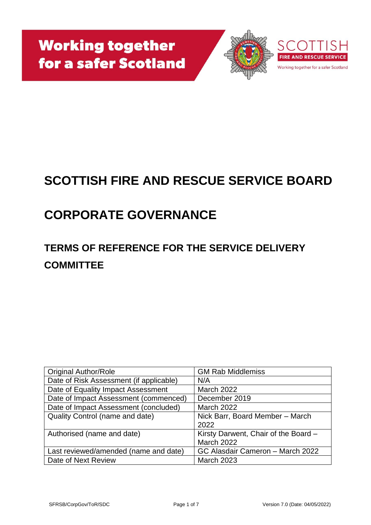

## **SCOTTISH FIRE AND RESCUE SERVICE BOARD**

# **CORPORATE GOVERNANCE**

## **TERMS OF REFERENCE FOR THE SERVICE DELIVERY COMMITTEE**

| <b>Original Author/Role</b>             | <b>GM Rab Middlemiss</b>             |
|-----------------------------------------|--------------------------------------|
| Date of Risk Assessment (if applicable) | N/A                                  |
| Date of Equality Impact Assessment      | <b>March 2022</b>                    |
| Date of Impact Assessment (commenced)   | December 2019                        |
| Date of Impact Assessment (concluded)   | <b>March 2022</b>                    |
| <b>Quality Control (name and date)</b>  | Nick Barr, Board Member - March      |
|                                         | 2022                                 |
| Authorised (name and date)              | Kirsty Darwent, Chair of the Board - |
|                                         | <b>March 2022</b>                    |
| Last reviewed/amended (name and date)   | GC Alasdair Cameron - March 2022     |
| Date of Next Review                     | <b>March 2023</b>                    |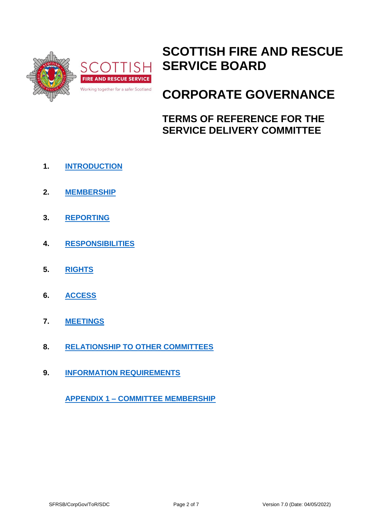

## **SCOTTISH FIRE AND RESCUE SERVICE BOARD**

## **CORPORATE GOVERNANCE**

**TERMS OF REFERENCE FOR THE SERVICE DELIVERY COMMITTEE**

- **1. [INTRODUCTION](#page-2-0)**
- **2. [MEMBERSHIP](#page-2-1)**
- **3. [REPORTING](#page-2-2)**
- **4. [RESPONSIBILITIES](#page-3-0)**
- **5. [RIGHTS](#page-3-1)**
- **6. [ACCESS](#page-4-0)**
- **7. [MEETINGS](#page-4-1)**
- **8. [RELATIONSHIP TO OTHER COMMITTEES](#page-5-0)**
- **9. [INFORMATION REQUIREMENTS](#page-5-1)**

**APPENDIX 1 – [COMMITTEE MEMBERSHIP](#page-6-0)**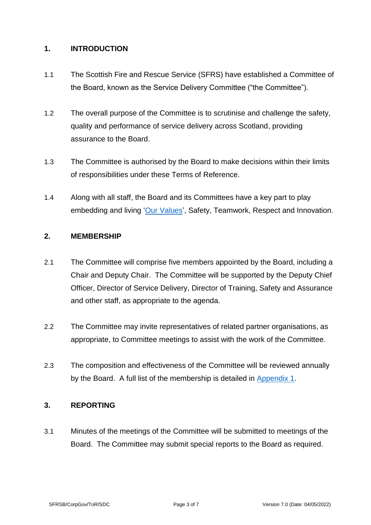#### <span id="page-2-0"></span>**1. INTRODUCTION**

- 1.1 The Scottish Fire and Rescue Service (SFRS) have established a Committee of the Board, known as the Service Delivery Committee ("the Committee").
- 1.2 The overall purpose of the Committee is to scrutinise and challenge the safety, quality and performance of service delivery across Scotland, providing assurance to the Board.
- 1.3 The Committee is authorised by the Board to make decisions within their limits of responsibilities under these Terms of Reference.
- 1.4 Along with all staff, the Board and its Committees have a key part to play embedding and living ['Our Values'](https://www.firescotland.gov.uk/media/1136497/sfrs-values-framework.pdf), Safety, Teamwork, Respect and Innovation.

### <span id="page-2-1"></span>**2. MEMBERSHIP**

- 2.1 The Committee will comprise five members appointed by the Board, including a Chair and Deputy Chair. The Committee will be supported by the Deputy Chief Officer, Director of Service Delivery, Director of Training, Safety and Assurance and other staff, as appropriate to the agenda.
- 2.2 The Committee may invite representatives of related partner organisations, as appropriate, to Committee meetings to assist with the work of the Committee.
- 2.3 The composition and effectiveness of the Committee will be reviewed annually by the Board. A full list of the membership is detailed in [Appendix 1.](#page-6-0)

#### <span id="page-2-2"></span>**3. REPORTING**

3.1 Minutes of the meetings of the Committee will be submitted to meetings of the Board. The Committee may submit special reports to the Board as required.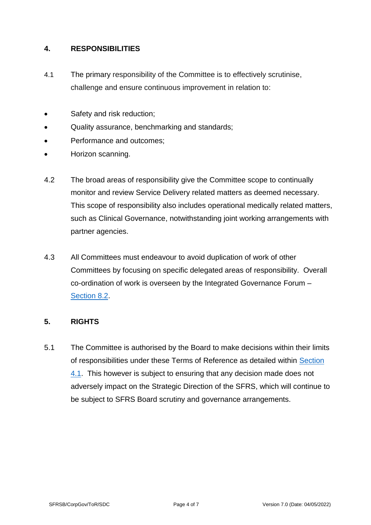#### <span id="page-3-0"></span>**4. RESPONSIBILITIES**

- <span id="page-3-2"></span>4.1 The primary responsibility of the Committee is to effectively scrutinise, challenge and ensure continuous improvement in relation to:
- Safety and risk reduction;
- Quality assurance, benchmarking and standards;
- Performance and outcomes:
- Horizon scanning.
- 4.2 The broad areas of responsibility give the Committee scope to continually monitor and review Service Delivery related matters as deemed necessary. This scope of responsibility also includes operational medically related matters, such as Clinical Governance, notwithstanding joint working arrangements with partner agencies.
- 4.3 All Committees must endeavour to avoid duplication of work of other Committees by focusing on specific delegated areas of responsibility. Overall co-ordination of work is overseen by the Integrated Governance Forum – [Section 8.2.](#page-5-2)

## <span id="page-3-1"></span>**5. RIGHTS**

5.1 The Committee is authorised by the Board to make decisions within their limits of responsibilities under these Terms of Reference as detailed within [Section](#page-3-2)  [4.1.](#page-3-2) This however is subject to ensuring that any decision made does not adversely impact on the Strategic Direction of the SFRS, which will continue to be subject to SFRS Board scrutiny and governance arrangements.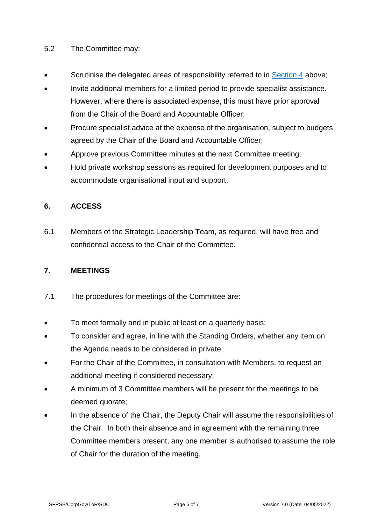### 5.2 The Committee may:

- Scrutinise the delegated areas of responsibility referred to in [Section 4](#page-3-0) above;
- Invite additional members for a limited period to provide specialist assistance. However, where there is associated expense, this must have prior approval from the Chair of the Board and Accountable Officer;
- Procure specialist advice at the expense of the organisation, subject to budgets agreed by the Chair of the Board and Accountable Officer;
- Approve previous Committee minutes at the next Committee meeting;
- Hold private workshop sessions as required for development purposes and to accommodate organisational input and support.

## <span id="page-4-0"></span>**6. ACCESS**

6.1 Members of the Strategic Leadership Team, as required, will have free and confidential access to the Chair of the Committee.

#### <span id="page-4-1"></span>**7. MEETINGS**

- 7.1 The procedures for meetings of the Committee are:
- To meet formally and in public at least on a quarterly basis;
- To consider and agree, in line with the Standing Orders, whether any item on the Agenda needs to be considered in private;
- For the Chair of the Committee, in consultation with Members, to request an additional meeting if considered necessary;
- A minimum of 3 Committee members will be present for the meetings to be deemed quorate;
- In the absence of the Chair, the Deputy Chair will assume the responsibilities of the Chair. In both their absence and in agreement with the remaining three Committee members present, any one member is authorised to assume the role of Chair for the duration of the meeting.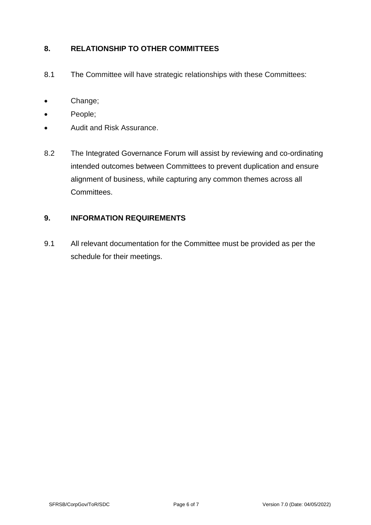## <span id="page-5-0"></span>**8. RELATIONSHIP TO OTHER COMMITTEES**

- 8.1 The Committee will have strategic relationships with these Committees:
- Change;
- People;
- Audit and Risk Assurance.
- <span id="page-5-2"></span>8.2 The Integrated Governance Forum will assist by reviewing and co-ordinating intended outcomes between Committees to prevent duplication and ensure alignment of business, while capturing any common themes across all Committees.

### <span id="page-5-1"></span>**9. INFORMATION REQUIREMENTS**

9.1 All relevant documentation for the Committee must be provided as per the schedule for their meetings.